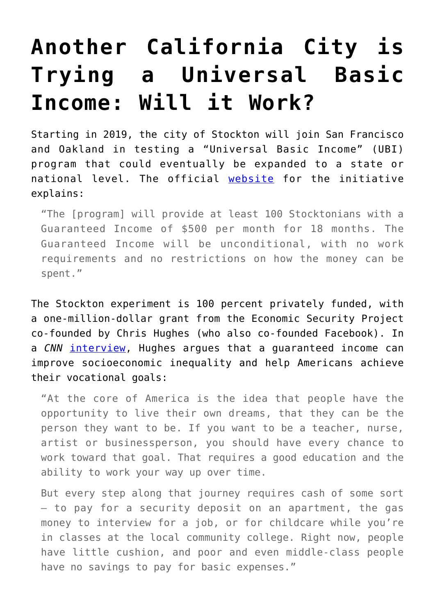## **[Another California City is](https://intellectualtakeout.org/2018/07/another-california-city-is-trying-a-universal-basic-income-will-it-work/) [Trying a Universal Basic](https://intellectualtakeout.org/2018/07/another-california-city-is-trying-a-universal-basic-income-will-it-work/) [Income: Will it Work?](https://intellectualtakeout.org/2018/07/another-california-city-is-trying-a-universal-basic-income-will-it-work/)**

Starting in 2019, the city of Stockton will join San Francisco and Oakland in testing a "Universal Basic Income" (UBI) program that could eventually be expanded to a state or national level. The official [website](https://www.stocktondemonstration.org/about-1/) for the initiative explains:

"The [program] will provide at least 100 Stocktonians with a Guaranteed Income of \$500 per month for 18 months. The Guaranteed Income will be unconditional, with no work requirements and no restrictions on how the money can be spent."

The Stockton experiment is 100 percent privately funded, with a one-million-dollar grant from the Economic Security Project co-founded by Chris Hughes (who also co-founded Facebook). In a *CNN* [interview](https://money.cnn.com/2018/03/19/news/economy/chris-hughes-universal-income-opinion/index.html?iid=EL), Hughes argues that a guaranteed income can improve socioeconomic inequality and help Americans achieve their vocational goals:

"At the core of America is the idea that people have the opportunity to live their own dreams, that they can be the person they want to be. If you want to be a teacher, nurse, artist or businessperson, you should have every chance to work toward that goal. That requires a good education and the ability to work your way up over time.

But every step along that journey requires cash of some sort – to pay for a security deposit on an apartment, the gas money to interview for a job, or for childcare while you're in classes at the local community college. Right now, people have little cushion, and poor and even middle-class people have no savings to pay for basic expenses."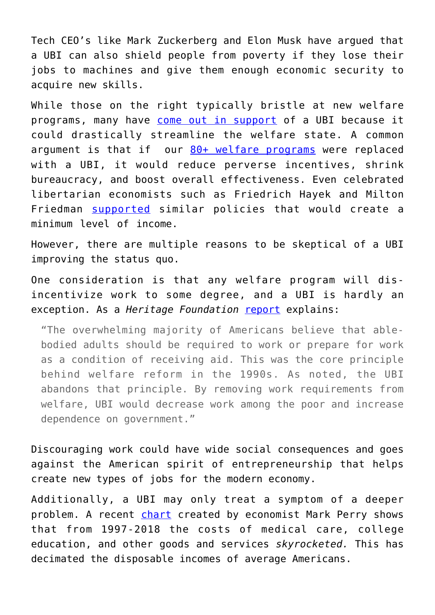Tech CEO's like Mark Zuckerberg and Elon Musk have argued that a UBI can also shield people from poverty if they lose their jobs to machines and give them enough economic security to acquire new skills.

While those on the right typically bristle at new welfare programs, many have [come out in support](https://publicpolicy.wharton.upenn.edu/live/news/1521-debating-universal-basic-income) of a UBI because it could drastically streamline the welfare state. A common argument is that if our  $80+$  welfare programs were replaced with a UBI, it would reduce perverse incentives, shrink bureaucracy, and boost overall effectiveness. Even celebrated libertarian economists such as Friedrich Hayek and Milton Friedman [supported](https://fee.org/articles/what-hayek-gets-wrong-about-a-universal-basic-income/) similar policies that would create a minimum level of income.

However, there are multiple reasons to be skeptical of a UBI improving the status quo.

One consideration is that any welfare program will disincentivize work to some degree, and a UBI is hardly an exception. As a *Heritage Foundation* [report](https://www.heritage.org/welfare/report/universal-basic-income-harms-recipients-and-increases-dependence-government) explains:

"The overwhelming majority of Americans believe that ablebodied adults should be required to work or prepare for work as a condition of receiving aid. This was the core principle behind welfare reform in the 1990s. As noted, the UBI abandons that principle. By removing work requirements from welfare, UBI would decrease work among the poor and increase dependence on government."

Discouraging work could have wide social consequences and goes against the American spirit of entrepreneurship that helps create new types of jobs for the modern economy.

Additionally, a UBI may only treat a symptom of a deeper problem. A recent [chart](https://fee.org/articles/the-chart-of-the-century-makes-the-rounds-at-the-federal-reserve/) created by economist Mark Perry shows that from 1997-2018 the costs of medical care, college education, and other goods and services *skyrocketed.* This has decimated the disposable incomes of average Americans.